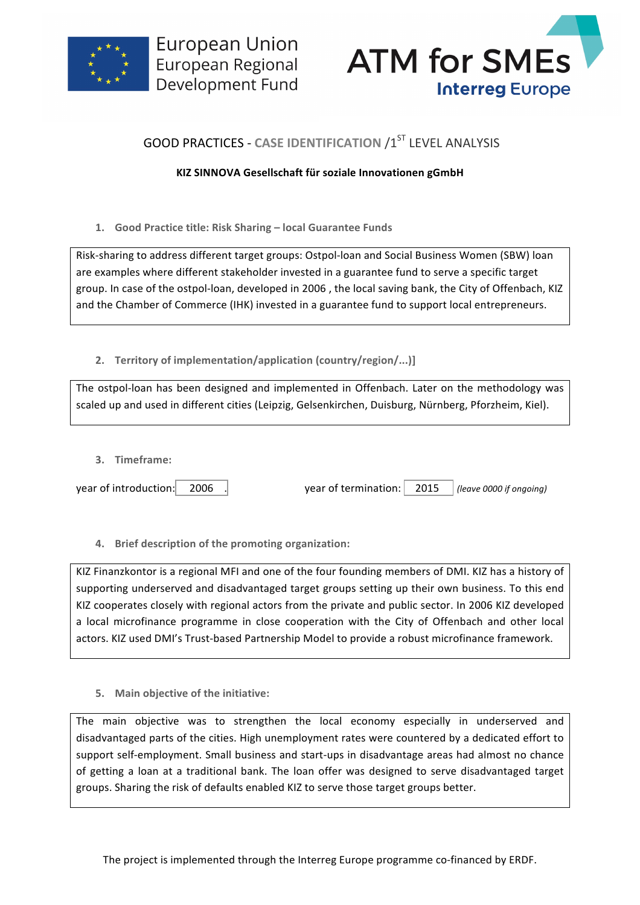



## **GOOD PRACTICES - CASE IDENTIFICATION /1ST LEVEL ANALYSIS**

## **KIZ SINNOVA Gesellschaft für soziale Innovationen gGmbH**

1. Good Practice title: Risk Sharing - local Guarantee Funds

Risk-sharing to address different target groups: Ostpol-loan and Social Business Women (SBW) loan are examples where different stakeholder invested in a guarantee fund to serve a specific target group. In case of the ostpol-loan, developed in 2006, the local saving bank, the City of Offenbach, KIZ and the Chamber of Commerce (IHK) invested in a guarantee fund to support local entrepreneurs.

2. **Territory of implementation/application (country/region/...)]** 

The ostpol-loan has been designed and implemented in Offenbach. Later on the methodology was scaled up and used in different cities (Leipzig, Gelsenkirchen, Duisburg, Nürnberg, Pforzheim, Kiel).

**3. Timeframe:**

year of introduction: 2006 .

**4.** Brief description of the promoting organization:

KIZ Finanzkontor is a regional MFI and one of the four founding members of DMI. KIZ has a history of supporting underserved and disadvantaged target groups setting up their own business. To this end KIZ cooperates closely with regional actors from the private and public sector. In 2006 KIZ developed a local microfinance programme in close cooperation with the City of Offenbach and other local actors. KIZ used DMI's Trust-based Partnership Model to provide a robust microfinance framework.

**5.** Main objective of the initiative:

The main objective was to strengthen the local economy especially in underserved and disadvantaged parts of the cities. High unemployment rates were countered by a dedicated effort to support self-employment. Small business and start-ups in disadvantage areas had almost no chance of getting a loan at a traditional bank. The loan offer was designed to serve disadvantaged target groups. Sharing the risk of defaults enabled KIZ to serve those target groups better.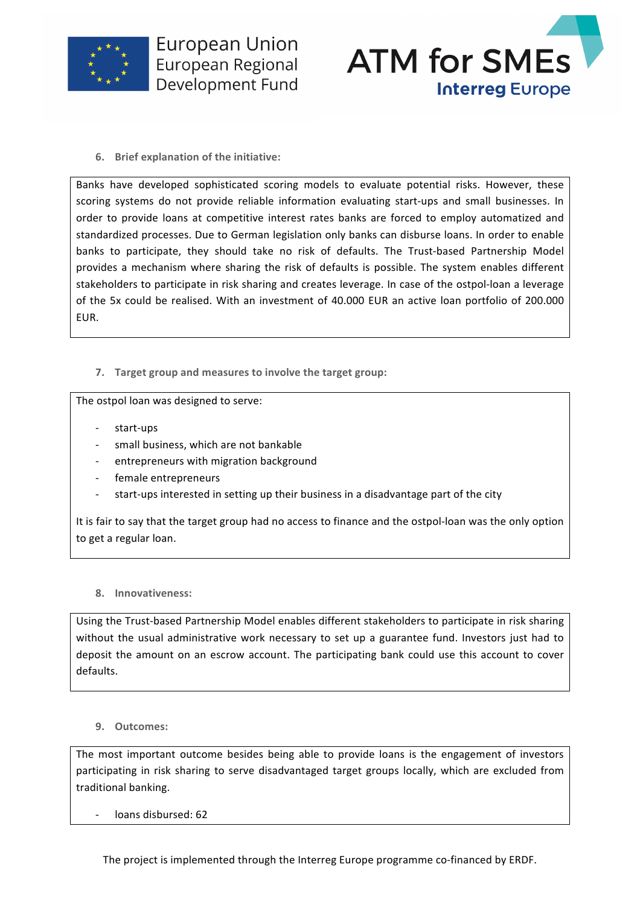

**European Union** European Regional Development Fund



**6.** Brief explanation of the initiative:

Banks have developed sophisticated scoring models to evaluate potential risks. However, these scoring systems do not provide reliable information evaluating start-ups and small businesses. In order to provide loans at competitive interest rates banks are forced to employ automatized and standardized processes. Due to German legislation only banks can disburse loans. In order to enable banks to participate, they should take no risk of defaults. The Trust-based Partnership Model provides a mechanism where sharing the risk of defaults is possible. The system enables different stakeholders to participate in risk sharing and creates leverage. In case of the ostpol-loan a leverage of the 5x could be realised. With an investment of 40.000 EUR an active loan portfolio of 200.000 EUR. 

**7.** Target group and measures to involve the target group:

The ostpol loan was designed to serve:

- start-ups
- small business, which are not bankable
- entrepreneurs with migration background
- female entrepreneurs
- start-ups interested in setting up their business in a disadvantage part of the city

It is fair to say that the target group had no access to finance and the ostpol-loan was the only option to get a regular loan.

## **8. Innovativeness:**

Using the Trust-based Partnership Model enables different stakeholders to participate in risk sharing without the usual administrative work necessary to set up a guarantee fund. Investors just had to deposit the amount on an escrow account. The participating bank could use this account to cover defaults.

## **9. Outcomes:**

The most important outcome besides being able to provide loans is the engagement of investors participating in risk sharing to serve disadvantaged target groups locally, which are excluded from traditional banking.

loans disbursed: 62

The project is implemented through the Interreg Europe programme co-financed by ERDF.